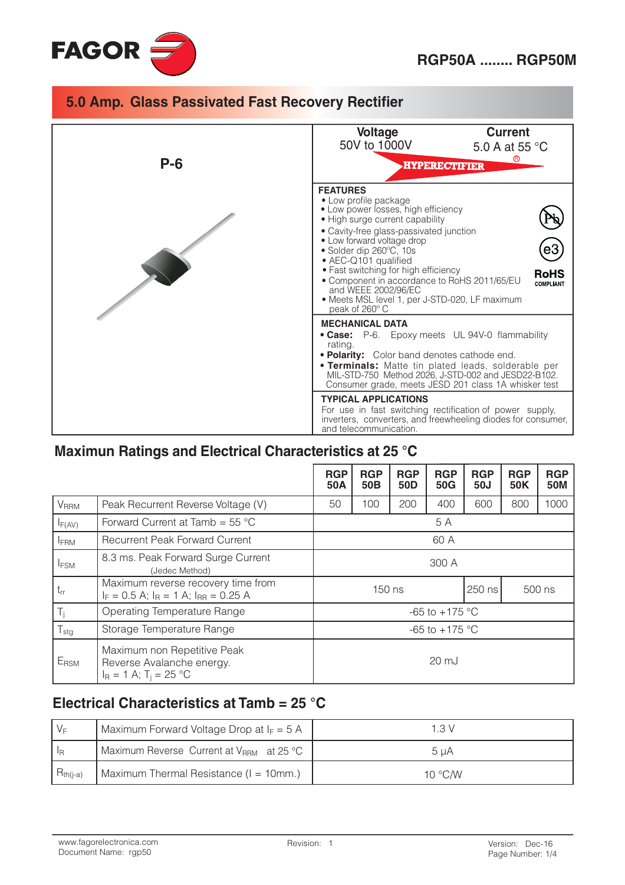



# Maximun Ratings and Electrical Characteristics at 25 °C

|                        |                                                                                                         | <b>RGP</b><br>50A | <b>RGP</b><br>50 <sub>B</sub> | <b>RGP</b><br>50 <sub>D</sub> | <b>RGP</b><br>50G | <b>RGP</b><br>50J | <b>RGP</b><br>50K | <b>RGP</b><br><b>50M</b> |
|------------------------|---------------------------------------------------------------------------------------------------------|-------------------|-------------------------------|-------------------------------|-------------------|-------------------|-------------------|--------------------------|
| <b>V<sub>RRM</sub></b> | Peak Recurrent Reverse Voltage (V)                                                                      | 50                | 100                           | 200                           | 400               | 600               | 800               | 1000                     |
| $I_{F(AV)}$            | Forward Current at Tamb = $55^{\circ}$ C                                                                | 5 A               |                               |                               |                   |                   |                   |                          |
| <b>IFRM</b>            | <b>Recurrent Peak Forward Current</b>                                                                   | 60 A              |                               |                               |                   |                   |                   |                          |
| <b>IFSM</b>            | 8.3 ms. Peak Forward Surge Current<br>(Jedec Method)                                                    | 300 A             |                               |                               |                   |                   |                   |                          |
| $t_{rr}$               | Maximum reverse recovery time from<br>250 ns<br>150 ns<br>$I_F = 0.5$ A; $I_R = 1$ A; $I_{RR} = 0.25$ A |                   | 500 ns                        |                               |                   |                   |                   |                          |
| $T_i$                  | <b>Operating Temperature Range</b><br>$-65$ to $+175$ °C                                                |                   |                               |                               |                   |                   |                   |                          |
| $T_{\text{stg}}$       | Storage Temperature Range                                                                               |                   | $-65$ to $+175$ °C            |                               |                   |                   |                   |                          |
| E <sub>RSM</sub>       | Maximum non Repetitive Peak<br>Reverse Avalanche energy.<br>$I_R = 1$ A; T <sub>i</sub> = 25 °C         | $20 \mathrm{mJ}$  |                               |                               |                   |                   |                   |                          |

### Electrical Characteristics at Tamb = 25 °C

| $V_F$         | Maximum Forward Voltage Drop at $I_F = 5$ A          | 1 3 V            |
|---------------|------------------------------------------------------|------------------|
|               | Maximum Reverse Current at V <sub>RRM</sub> at 25 °C | 5 uA             |
| $R_{th(i-a)}$ | Maximum Thermal Resistance (I = 10mm.)               | 10 $\degree$ C/W |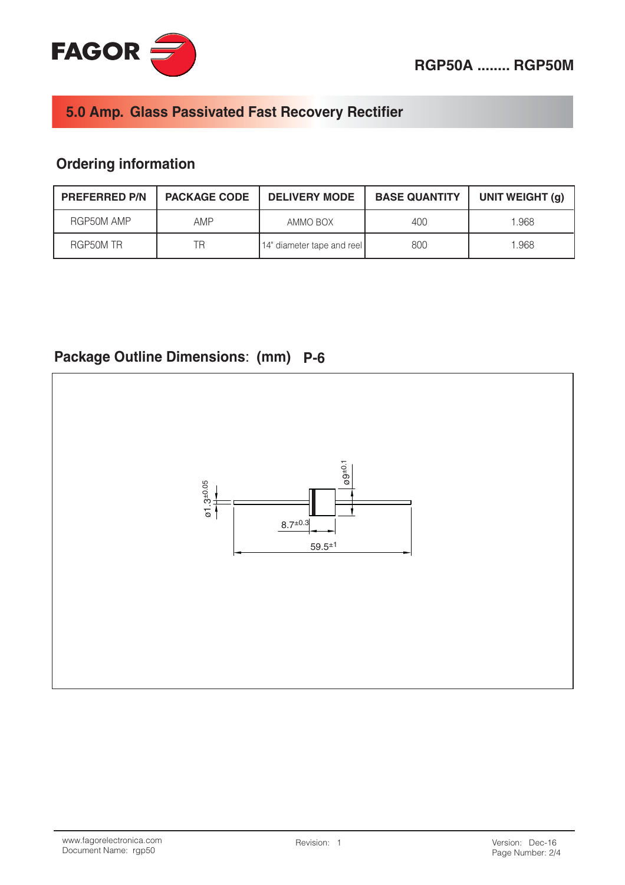

## **Ordering information**

| <b>PREFERRED P/N</b> | <b>PACKAGE CODE</b> | <b>DELIVERY MODE</b>       | <b>BASE QUANTITY</b> | UNIT WEIGHT (g) |
|----------------------|---------------------|----------------------------|----------------------|-----------------|
| RGP50M AMP           | AMP                 | AMMO BOX                   | 400                  | 1.968           |
| RGP50M TR            | TR                  | 14" diameter tape and reel | 800                  | 1.968           |

# Package Outline Dimensions: (mm) P-6

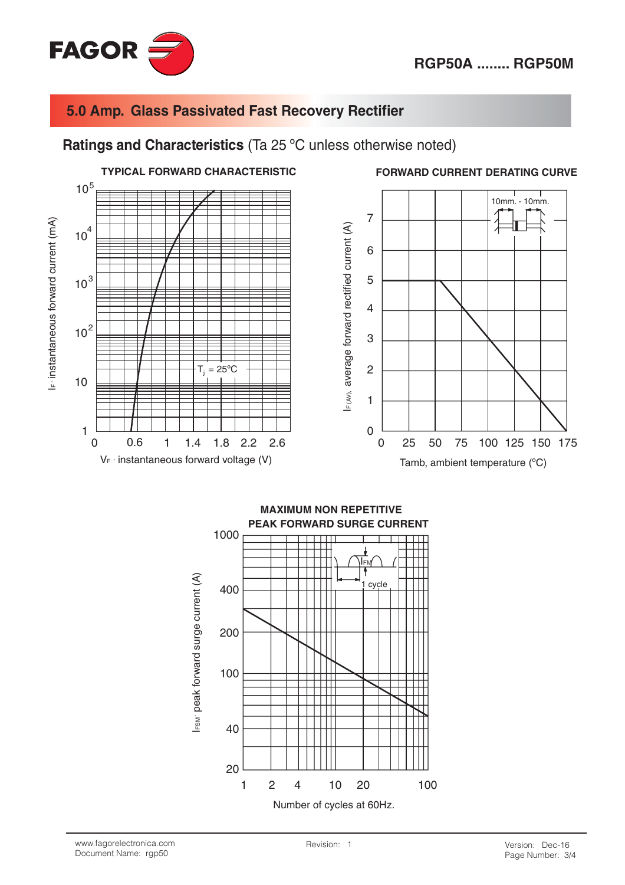

#### Ratings and Characteristics (Ta 25 °C unless otherwise noted)